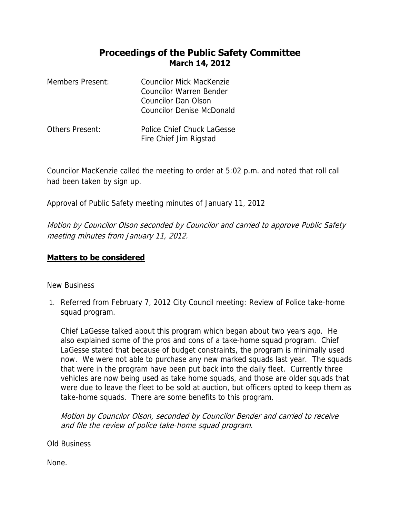## **Proceedings of the Public Safety Committee March 14, 2012**

| <b>Members Present:</b> | Councilor Mick MacKenzie<br>Councilor Warren Bender<br>Councilor Dan Olson<br>Councilor Denise McDonald |
|-------------------------|---------------------------------------------------------------------------------------------------------|
| Others Present:         | Police Chief Chuck LaGesse<br>Fire Chief Jim Rigstad                                                    |

Councilor MacKenzie called the meeting to order at 5:02 p.m. and noted that roll call had been taken by sign up.

Approval of Public Safety meeting minutes of January 11, 2012

Motion by Councilor Olson seconded by Councilor and carried to approve Public Safety meeting minutes from January 11, 2012.

## **Matters to be considered**

New Business

1. Referred from February 7, 2012 City Council meeting: Review of Police take-home squad program.

Chief LaGesse talked about this program which began about two years ago. He also explained some of the pros and cons of a take-home squad program. Chief LaGesse stated that because of budget constraints, the program is minimally used now. We were not able to purchase any new marked squads last year. The squads that were in the program have been put back into the daily fleet. Currently three vehicles are now being used as take home squads, and those are older squads that were due to leave the fleet to be sold at auction, but officers opted to keep them as take-home squads. There are some benefits to this program.

Motion by Councilor Olson, seconded by Councilor Bender and carried to receive and file the review of police take-home squad program.

Old Business

None.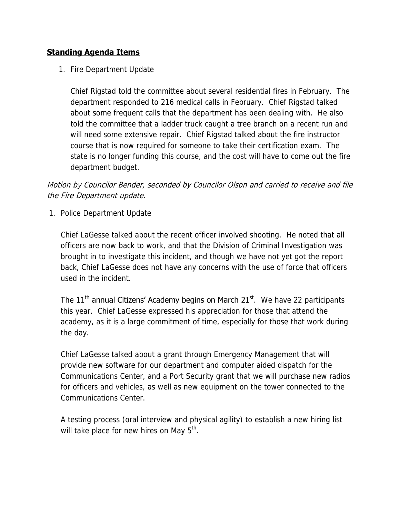## **Standing Agenda Items**

1. Fire Department Update

Chief Rigstad told the committee about several residential fires in February. The department responded to 216 medical calls in February. Chief Rigstad talked about some frequent calls that the department has been dealing with. He also told the committee that a ladder truck caught a tree branch on a recent run and will need some extensive repair. Chief Rigstad talked about the fire instructor course that is now required for someone to take their certification exam. The state is no longer funding this course, and the cost will have to come out the fire department budget.

## Motion by Councilor Bender, seconded by Councilor Olson and carried to receive and file the Fire Department update.

1. Police Department Update

Chief LaGesse talked about the recent officer involved shooting. He noted that all officers are now back to work, and that the Division of Criminal Investigation was brought in to investigate this incident, and though we have not yet got the report back, Chief LaGesse does not have any concerns with the use of force that officers used in the incident.

The 11<sup>th</sup> annual Citizens' Academy begins on March  $21^{st}$ . We have 22 participants this year. Chief LaGesse expressed his appreciation for those that attend the academy, as it is a large commitment of time, especially for those that work during the day.

Chief LaGesse talked about a grant through Emergency Management that will provide new software for our department and computer aided dispatch for the Communications Center, and a Port Security grant that we will purchase new radios for officers and vehicles, as well as new equipment on the tower connected to the Communications Center.

A testing process (oral interview and physical agility) to establish a new hiring list will take place for new hires on May 5<sup>th</sup>.